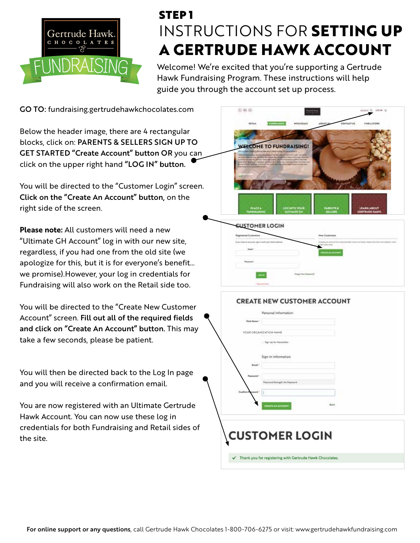

## INSTRUCTIONS FOR **SETTING UP A GERTRUDE HAWK ACCOUNT** STEP 1

Welcome! We're excited that you're supporting a Gertrude Hawk Fundraising Program. These instructions will help guide you through the account set up process.

GO TO: fundraising.gertrudehawkchocolates.com

Below the header image, there are 4 rectangular blocks, click on: PARENTS & SELLERS SIGN UP TO GET STARTED "Create Account" button OR you can click on the upper right hand "LOG IN" button.

You will be directed to the "Customer Login" screen. Click on the "Create An Account" button**,** on the right side of the screen.

**Please note:** All customers will need a new "Ultimate GH Account" log in with our new site, regardless, if you had one from the old site (we apologize for this, but it is for everyone's benefit… we promise).However, your log in credentials for Fundraising will also work on the Retail side too.

You will be directed to the "Create New Customer Account" screen. Fill out all of the required fields and click on "Create An Account" button. This may take a few seconds, please be patient.

You will then be directed back to the Log In page and you will receive a confirmation email.

You are now registered with an Ultimate Gertrude Hawk Account. You can now use these log in credentials for both Fundraising and Retail sides of the site.



| <b>CUSTOMER LOGIN</b>                           |                                                                                           |
|-------------------------------------------------|-------------------------------------------------------------------------------------------|
| <b>Instal Customers</b>                         | <b>Haiw Customers</b>                                                                     |
| have no account your in with stay away askings. | the control of the control of the con-<br>to have dealer transmiss when to as backet boom |
| <b>Daniel</b>                                   | <b>INVESTIGATION</b>                                                                      |
| <b>POSTER BALL</b>                              |                                                                                           |
|                                                 |                                                                                           |
|                                                 |                                                                                           |
| <b>Country of Canada</b>                        |                                                                                           |

| <b>Rizel Hame 1</b>             |                                |      |  |
|---------------------------------|--------------------------------|------|--|
|                                 | YOUR ORGANIZATION NAME         |      |  |
|                                 | - Tign Up for Newdatter        |      |  |
|                                 | Sign-in Information            |      |  |
| Email 1                         |                                |      |  |
| <b>Paintwood</b>                |                                |      |  |
|                                 | Persisted Strength No Feasured |      |  |
| <b>Cardians</b> P<br>٠<br>honen |                                |      |  |
|                                 | CREATE AN ACCOUNT              | Buck |  |
|                                 |                                |      |  |
|                                 |                                |      |  |
|                                 | <b>CUSTOMER LOGIN</b>          |      |  |